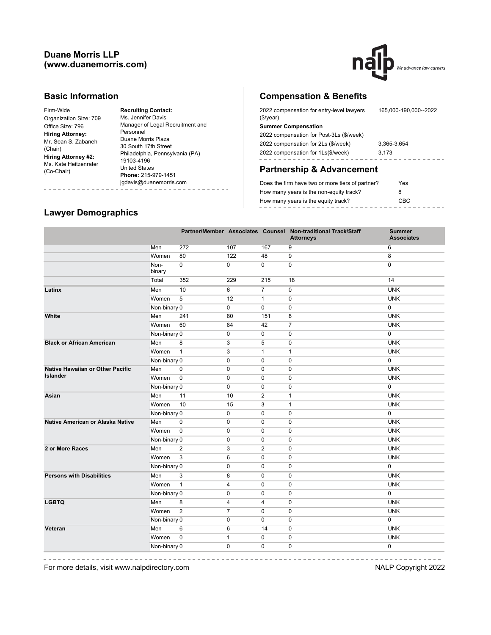## **Duane Morris LLP (www.duanemorris.com)**



#### **Basic Information**

Firm-Wide Organization Size: 709 Office Size: 796 **Hiring Attorney:** Mr. Sean S. Zabaneh (Chair) **Hiring Attorney #2:** Ms. Kate Heitzenrater (Co-Chair)

**Recruiting Contact:** Ms. Jennifer Davis Manager of Legal Recruitment and Personnel Duane Morris Plaza 30 South 17th Street Philadelphia, Pennsylvania (PA) 19103-4196 United States **Phone:** 215-979-1451 jgdavis@duanemorris.com 

# **Compensation & Benefits**

| 2022 compensation for entry-level lawyers<br>(\$/year) | 165.000-190.000--2022 |  |  |  |  |
|--------------------------------------------------------|-----------------------|--|--|--|--|
| <b>Summer Compensation</b>                             |                       |  |  |  |  |
| 2022 compensation for Post-3Ls (\$/week)               |                       |  |  |  |  |
| 2022 compensation for 2Ls (\$/week)                    | 3.365-3.654           |  |  |  |  |
| 2022 compensation for 1Ls(\$/week)                     | 3.173                 |  |  |  |  |
|                                                        |                       |  |  |  |  |

# **Partnership & Advancement**

| Does the firm have two or more tiers of partner? | Yes  |
|--------------------------------------------------|------|
| How many years is the non-equity track?          | 8    |
| How many years is the equity track?              | CBC. |
|                                                  |      |

### **Lawyer Demographics**

------------

|                                         |                |                |                |                | Partner/Member Associates Counsel Non-traditional Track/Staff<br><b>Attorneys</b> | <b>Summer</b><br><b>Associates</b> |
|-----------------------------------------|----------------|----------------|----------------|----------------|-----------------------------------------------------------------------------------|------------------------------------|
|                                         | Men            | 272            | 107            | 167            | 9                                                                                 | 6                                  |
|                                         | Women          | 80             | 122            | 48             | 9                                                                                 | 8                                  |
|                                         | Non-<br>binary | $\Omega$       | $\mathbf 0$    | $\Omega$       | $\Omega$                                                                          | $\Omega$                           |
|                                         | Total          | 352            | 229            | 215            | 18                                                                                | 14                                 |
| Latinx                                  | Men            | 10             | 6              | $\overline{7}$ | 0                                                                                 | <b>UNK</b>                         |
|                                         | Women          | 5              | 12             | $\mathbf{1}$   | 0                                                                                 | <b>UNK</b>                         |
|                                         | Non-binary 0   |                | $\pmb{0}$      | 0              | 0                                                                                 | $\pmb{0}$                          |
| White                                   | Men            | 241            | 80             | 151            | 8                                                                                 | <b>UNK</b>                         |
|                                         | Women          | 60             | 84             | 42             | $\overline{7}$                                                                    | <b>UNK</b>                         |
|                                         | Non-binary 0   |                | 0              | $\mathbf 0$    | 0                                                                                 | $\pmb{0}$                          |
| <b>Black or African American</b>        | Men            | 8              | 3              | 5              | 0                                                                                 | <b>UNK</b>                         |
|                                         | Women          | $\mathbf{1}$   | 3              | $\mathbf{1}$   | $\mathbf{1}$                                                                      | <b>UNK</b>                         |
|                                         | Non-binary 0   |                | $\mathbf 0$    | $\Omega$       | $\mathbf 0$                                                                       | $\mathbf 0$                        |
| <b>Native Hawaiian or Other Pacific</b> | Men            | $\mathbf 0$    | $\mathbf 0$    | $\Omega$       | $\mathbf 0$                                                                       | <b>UNK</b>                         |
| Islander                                | Women          | $\mathbf 0$    | $\mathbf 0$    | $\mathbf 0$    | $\mathbf 0$                                                                       | <b>UNK</b>                         |
|                                         | Non-binary 0   |                | 0              | $\mathbf 0$    | 0                                                                                 | 0                                  |
| Asian                                   | Men            | 11             | 10             | $\mathbf{2}$   | $\mathbf{1}$                                                                      | <b>UNK</b>                         |
|                                         | Women          | 10             | 15             | 3              | $\mathbf{1}$                                                                      | <b>UNK</b>                         |
|                                         | Non-binary 0   |                | 0              | $\mathbf 0$    | $\mathbf 0$                                                                       | $\mathbf 0$                        |
| Native American or Alaska Native        | Men            | $\mathbf 0$    | $\mathbf 0$    | $\mathbf 0$    | 0                                                                                 | <b>UNK</b>                         |
|                                         | Women          | $\mathbf 0$    | $\mathbf 0$    | $\mathbf 0$    | $\mathbf 0$                                                                       | <b>UNK</b>                         |
|                                         | Non-binary 0   |                | $\mathbf 0$    | $\mathbf 0$    | $\mathbf 0$                                                                       | <b>UNK</b>                         |
| 2 or More Races                         | Men            | 2              | 3              | 2              | $\mathbf 0$                                                                       | <b>UNK</b>                         |
|                                         | Women          | 3              | 6              | $\mathbf 0$    | 0                                                                                 | <b>UNK</b>                         |
|                                         | Non-binary 0   |                | $\mathbf 0$    | $\mathbf 0$    | 0                                                                                 | $\pmb{0}$                          |
| <b>Persons with Disabilities</b>        | Men            | 3              | 8              | $\mathbf 0$    | 0                                                                                 | <b>UNK</b>                         |
|                                         | Women          | $\mathbf{1}$   | $\overline{4}$ | $\mathbf 0$    | 0                                                                                 | <b>UNK</b>                         |
|                                         | Non-binary 0   |                | $\mathbf 0$    | $\mathbf 0$    | $\mathbf 0$                                                                       | $\mathbf 0$                        |
| <b>LGBTQ</b>                            | Men            | 8              | 4              | 4              | 0                                                                                 | <b>UNK</b>                         |
|                                         | Women          | $\overline{2}$ | $\overline{7}$ | 0              | 0                                                                                 | <b>UNK</b>                         |
|                                         | Non-binary 0   |                | $\mathbf 0$    | $\Omega$       | $\mathbf 0$                                                                       | $\mathbf 0$                        |
| Veteran                                 | Men            | 6              | 6              | 14             | 0                                                                                 | <b>UNK</b>                         |
|                                         | Women          | $\mathbf 0$    | $\mathbf{1}$   | $\mathbf 0$    | 0                                                                                 | <b>UNK</b>                         |
|                                         | Non-binary 0   |                | 0              | $\mathbf 0$    | 0                                                                                 | $\pmb{0}$                          |

 $\frac{1}{2} \left( \frac{1}{2} \right) \left( \frac{1}{2} \right) \left( \frac{1}{2} \right) \left( \frac{1}{2} \right) \left( \frac{1}{2} \right) \left( \frac{1}{2} \right) \left( \frac{1}{2} \right) \left( \frac{1}{2} \right) \left( \frac{1}{2} \right) \left( \frac{1}{2} \right) \left( \frac{1}{2} \right) \left( \frac{1}{2} \right) \left( \frac{1}{2} \right) \left( \frac{1}{2} \right) \left( \frac{1}{2} \right) \left( \frac{1}{2} \right) \left( \frac$ 

For more details, visit www.nalpdirectory.com NALP Copyright 2022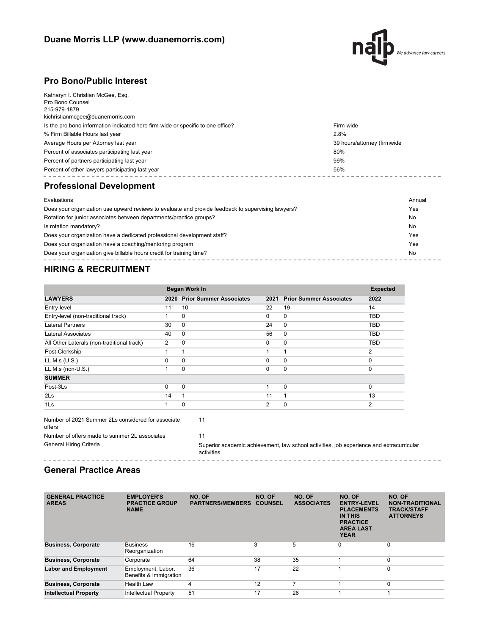

# **Pro Bono/Public Interest**

| Percent of other lawyers participating last year                                                          | 56%                         |
|-----------------------------------------------------------------------------------------------------------|-----------------------------|
| Percent of partners participating last year                                                               | 99%                         |
| Percent of associates participating last year                                                             | 80%                         |
| Average Hours per Attorney last year                                                                      | 39 hours/attorney (firmwide |
| % Firm Billable Hours last year                                                                           | 2.8%                        |
| Is the pro bono information indicated here firm-wide or specific to one office?                           | Firm-wide                   |
| Katharyn I. Christian McGee, Esq.<br>Pro Bono Counsel<br>215-979-1879<br>kichristianmcgee@duanemorris.com |                             |

## **Professional Development**

| Evaluations                                                                                        | Annual |
|----------------------------------------------------------------------------------------------------|--------|
| Does your organization use upward reviews to evaluate and provide feedback to supervising lawyers? | Yes    |
| Rotation for junior associates between departments/practice groups?                                | No     |
| Is rotation mandatory?                                                                             | No     |
| Does your organization have a dedicated professional development staff?                            | Yes    |
| Does your organization have a coaching/mentoring program                                           | Yes    |
| Does your organization give billable hours credit for training time?                               | No     |
|                                                                                                    |        |

# **HIRING & RECRUITMENT**

|                                            |               | <b>Began Work In</b>           |          |                                | <b>Expected</b> |
|--------------------------------------------|---------------|--------------------------------|----------|--------------------------------|-----------------|
| <b>LAWYERS</b>                             | 2020          | <b>Prior Summer Associates</b> | 2021     | <b>Prior Summer Associates</b> | 2022            |
| Entry-level                                | 11            | 10                             | 22       | 19                             | 14              |
| Entry-level (non-traditional track)        |               | 0                              | $\Omega$ | $\mathbf{0}$                   | <b>TBD</b>      |
| <b>Lateral Partners</b>                    | 30            | 0                              | 24       | $\mathbf 0$                    | <b>TBD</b>      |
| Lateral Associates                         | 40            | 0                              | 56       | $\mathbf 0$                    | TBD             |
| All Other Laterals (non-traditional track) | $\mathcal{P}$ | $\Omega$                       | $\Omega$ | $\Omega$                       | <b>TBD</b>      |
| Post-Clerkship                             |               |                                |          | 1                              | 2               |
| LL.M.s (U.S.)                              | $\Omega$      | $\Omega$                       | $\Omega$ | $\Omega$                       | 0               |
| $LL.M.s$ (non- $U.S.$ )                    |               | $\Omega$                       | $\Omega$ | 0                              | 0               |
| <b>SUMMER</b>                              |               |                                |          |                                |                 |
| Post-3Ls                                   | $\Omega$      | 0                              |          | 0                              | $\Omega$        |
| 2Ls                                        | 14            | 1                              | 11       | 1                              | 13              |
| 1Ls                                        |               | $\Omega$                       | 2        | $\Omega$                       | $\overline{2}$  |

Number of 2021 Summer 2Ls considered for associate 11 offers Number of offers made to summer 2L associates 11 General Hiring Criteria **Superior academic achievement**, law school activities, job experience and extracurricular activities. 

## **General Practice Areas**

| <b>GENERAL PRACTICE</b><br><b>AREAS</b> | <b>EMPLOYER'S</b><br><b>PRACTICE GROUP</b><br><b>NAME</b> | NO. OF<br><b>PARTNERS/MEMBERS</b> | NO. OF<br><b>COUNSEL</b> | NO. OF<br><b>ASSOCIATES</b> | NO. OF<br><b>ENTRY-LEVEL</b><br><b>PLACEMENTS</b><br><b>IN THIS</b><br><b>PRACTICE</b><br><b>AREA LAST</b><br><b>YEAR</b> | NO. OF<br><b>NON-TRADITIONAL</b><br><b>TRACK/STAFF</b><br><b>ATTORNEYS</b> |
|-----------------------------------------|-----------------------------------------------------------|-----------------------------------|--------------------------|-----------------------------|---------------------------------------------------------------------------------------------------------------------------|----------------------------------------------------------------------------|
| <b>Business, Corporate</b>              | <b>Business</b><br>Reorganization                         | 16                                | 3                        | 5                           | $\Omega$                                                                                                                  | $\mathbf 0$                                                                |
| <b>Business, Corporate</b>              | Corporate                                                 | 64                                | 38                       | 35                          |                                                                                                                           | $\mathbf 0$                                                                |
| <b>Labor and Employment</b>             | Employment, Labor,<br>Benefits & Immigration              | 36                                | 17                       | 22                          |                                                                                                                           | $\mathbf 0$                                                                |
| <b>Business, Corporate</b>              | <b>Health Law</b>                                         | 4                                 | 12                       | ⇁                           |                                                                                                                           | $\mathbf 0$                                                                |
| <b>Intellectual Property</b>            | <b>Intellectual Property</b>                              | 51                                | 17                       | 26                          |                                                                                                                           |                                                                            |